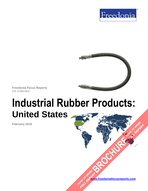



**Freedonia Focus Reports** US Collection

# **Industrial Rubber Products: United States**

**February 2018**

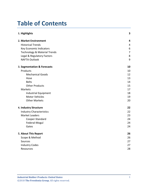# **Table of Contents**

| 1. Highlights                           | 3                       |
|-----------------------------------------|-------------------------|
| 2. Market Environment                   | $\overline{\mathbf{4}}$ |
| <b>Historical Trends</b>                | 4                       |
| Key Economic Indicators                 | 6                       |
| <b>Technology &amp; Material Trends</b> | $\overline{7}$          |
| Legal & Regulatory Factors              | 8                       |
| <b>NAFTA Outlook</b>                    | 9                       |
| 3. Segmentation & Forecasts             | 10                      |
| Products                                | 10                      |
| <b>Mechanical Goods</b>                 | 12                      |
| Hose                                    | 13                      |
| <b>Belts</b>                            | 14                      |
| <b>Other Products</b>                   | 15                      |
| Markets                                 | 17                      |
| <b>Industrial Equipment</b>             | 18                      |
| <b>Motor Vehicles</b>                   | 19                      |
| <b>Other Markets</b>                    | 20                      |
| 4. Industry Structure                   | 22                      |
| <b>Industry Characteristics</b>         | 22                      |
| Market Leaders                          | 23                      |
| Cooper-Standard                         | 24                      |
| Federal-Mogul                           | 24                      |
| Gates                                   | 24                      |
| 5. About This Report                    | 26                      |
| Scope & Method                          | 26                      |
| Sources                                 | 27                      |
| <b>Industry Codes</b>                   | 27                      |
| <b>Resources</b>                        | 28                      |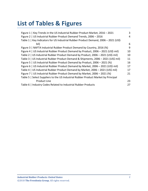# **List of Tables & Figures**

| Figure 1   Key Trends in the US Industrial Rubber Product Market, 2016 - 2021       | 3  |
|-------------------------------------------------------------------------------------|----|
|                                                                                     |    |
| Figure 2   US Industrial Rubber Product Demand Trends, 2006 - 2016                  | 4  |
| Table 1   Key Indicators for US Industrial Rubber Product Demand, 2006 - 2021 (US\$ |    |
| bil)                                                                                | 6  |
| Figure 3   NAFTA Industrial Rubber Product Demand by Country, 2016 (%)              | 9  |
| Figure 4   US Industrial Rubber Product Demand by Product, 2006 - 2021 (US\$ mil)   | 10 |
| Table 2   US Industrial Rubber Product Demand by Product, 2006 - 2021 (US\$ mil)    | 10 |
| Table 3   US Industrial Rubber Product Demand & Shipments, 2006 - 2021 (US\$ mil)   | 11 |
| Figure 5   US Industrial Rubber Product Demand by Product, 2006 - 2021 (%)          | 16 |
| Figure 6   US Industrial Rubber Product Demand by Market, 2006 - 2021 (US\$ mil)    | 17 |
| Table 4   US Industrial Rubber Product Demand by Market, 2006 - 2021 (US\$ mil)     | 17 |
| Figure 7   US Industrial Rubber Product Demand by Market, 2006 - 2021 (%)           | 21 |
| Table 5   Select Suppliers to the US Industrial Rubber Product Market by Principal  |    |
| <b>Product Line</b>                                                                 | 23 |
| Table 6   Industry Codes Related to Industrial Rubber Products                      | 27 |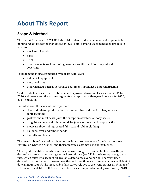# <span id="page-3-0"></span>**About This Report**

### <span id="page-3-1"></span>**Scope & Method**

This report forecasts to 2021 US industrial rubber products demand and shipments in nominal US dollars at the manufacturer level. Total demand is segmented by product in terms of:

- mechanical goods
- hose
- belts
- other products such as roofing membranes, film, and flooring and wall coverings

Total demand is also segmented by market as follows:

- industrial equipment
- motor vehicles
- other markets such as aerospace equipment, appliances, and construction

To illustrate historical trends, total demand is provided in annual series from 2006 to 2016; shipments and the various segments are reported at five-year intervals for 2006, 2011, and 2016.

Excluded from the scope of this report are:

- tires and related products (such as inner tubes and tread rubber, wire and cable jacketing)
- gaskets and most seals (with the exception of vehicular body seals)
- druggist and medical rubber sundries (such as gloves and prophylactics)
- medical rubber tubing, coated fabrics, and rubber clothing
- balloons, toys, and rubber bands
- life rafts and boats

The term "rubber" as used in this report includes products made from both thermoset (natural or synthetic rubber) and thermoplastic elastomers, including blends.

This report quantifies trends in various measures of growth and volatility. Growth (or decline) expressed as an average annual growth rate (AAGR) is the least squares growth rate, which takes into account all available datapoints over a period. The volatility of datapoints around a least squares growth trend over time is expressed via the coefficient of determination, or  $r^2$ . The most stable data series relative to the trend carries an  $r^2$  value of 1.0; the most volatile – 0.0. Growth calculated as a compound annual growth rate (CAGR)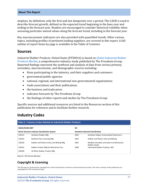#### **About This Report**

employs, by definition, only the first and last datapoints over a period. The CAGR is used to describe forecast growth, defined as the expected trend beginning in the base year and ending in the forecast year. Readers are encouraged to consider historical volatility when assessing particular annual values along the forecast trend, including in the forecast year.

Key macroeconomic indicators are also provided with quantified trends. Other various topics, including profiles of pertinent leading suppliers, are covered in this report. A full outline of report items by page is available in the Table of Contents.

#### <span id="page-4-0"></span>**Sources**

*Industrial Rubber Products: United States* (FF50016) is based on *[Global Industrial Rubber](http://www.freedoniagroup.com/DocumentDetails.aspx?ReferrerId=FL-FOCUS&studyid=3605)  [Products Market,](http://www.freedoniagroup.com/DocumentDetails.aspx?ReferrerId=FL-FOCUS&studyid=3605)* a comprehensive industry study published by The Freedonia Group. Reported findings represent the synthesis and analysis of data from various primary, secondary, macroeconomic, and demographic sources including:

- firms participating in the industry, and their suppliers and customers
- government/public agencies
- national, regional, and international non-governmental organizations
- trade associations and their publications
- the business and trade press
- indicator forecasts by The Freedonia Group
- the findings of other reports and studies by The Freedonia Group

Specific sources and additional resources are listed in the Resources section of this publication for reference and to facilitate further research.

### <span id="page-4-1"></span>**Industry Codes**

<span id="page-4-2"></span>

| Table 6   Industry Codes Related to Industrial Rubber Products           |                                           |                                           |                                                            |  |
|--------------------------------------------------------------------------|-------------------------------------------|-------------------------------------------|------------------------------------------------------------|--|
| <b>NAICS/SCIAN 2007</b><br>North American Industry Classification System |                                           | <b>SIC</b>                                |                                                            |  |
|                                                                          |                                           | <b>Standard Industrial Classification</b> |                                                            |  |
| 325212                                                                   | Synthetic Rubber Mfg                      | 2822                                      | Synthetic Rubber (Vulcanizable Elastomers)                 |  |
| 326192                                                                   | <b>Resilient Floor Covering Mfg</b>       | 3052                                      | Rubber and Plastics Hose and Belting                       |  |
| 326220                                                                   | Rubber and Plastics Hoses and Belting Mfg | 3061                                      | Molded, Extruded, and Lathe-Cut Mechanical<br>Rubber Goods |  |
| 326291                                                                   | Rubber Product Mfg for Mechanical Use     | 3069                                      | <b>Fabricated Rubber Products, NEC</b>                     |  |
| 326299                                                                   | All Other Rubber Product Mfg              |                                           |                                                            |  |

Source: US Census Bureau

#### **Copyright & Licensing**

The full report is protected by copyright laws of the United States of America and international treaties. The entire contents of the publication are copyrighted by The Freedonia Group.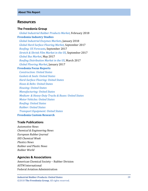#### <span id="page-5-0"></span>**Resources**

#### **The Freedonia Group**

 *[Global Industrial Rubber Products Market,](http://www.freedoniagroup.com/DocumentDetails.aspx?ReferrerId=FL-FOCUS&studyid=3605)* February 2018 **[Freedonia Industry Studies](http://www.freedoniagroup.com/Home.aspx?ReferrerId=FL-Focus)**  *[Global Industrial Enzymes Markets](http://www.freedoniagroup.com/DocumentDetails.aspx?ReferrerId=FL-FOCUS&studyid=3593)*, January 2018  *[Global Hard Surface Flooring Market,](http://www.freedoniagroup.com/DocumentDetails.aspx?ReferrerId=FL-FOCUS&studyid=3556)* September 2017  *[Roofing: US Forecasts,](http://www.freedoniagroup.com/DocumentDetails.aspx?ReferrerId=FL-FOCUS&studyid=3564)* September 2017 *[Stretch & Shrink Film Market in the US](http://www.freedoniagroup.com/DocumentDetails.aspx?ReferrerId=FL-FOCUS&studyid=3561)*, September 2017 *[Global Bus Market](http://www.freedoniagroup.com/DocumentDetails.aspx?ReferrerId=FL-FOCUS&studyid=3509)*, May 2017 *[Roofing Distribution Market in the US](http://www.freedoniagroup.com/DocumentDetails.aspx?ReferrerId=FL-FOCUS&studyid=3497)*, March 2017 *[Global Flooring Market](http://www.freedoniagroup.com/DocumentDetails.aspx?ReferrerId=FL-FOCUS&studyid=3487)*, January 2017 **[Freedonia Focus Reports](https://www.freedoniafocusreports.com/redirect.asp?progid=89534&url=/)**  *[Construction: United States](https://www.freedoniafocusreports.com/Construction-United-States-FF60054/) [Gaskets & Seals: United States](https://www.freedoniafocusreports.com/Gaskets-Seals-United-States-FF50012/) [Hard-Surface Flooring: United States](https://www.freedoniafocusreports.com/Hard-Surface-Flooring-United-States-FF60047/) [Hoses & Belts: United States](https://www.freedoniafocusreports.com/Hoses-Belts-United-States-FF50010/) [Housing: United States](https://www.freedoniafocusreports.com/Housing-United-States-FF60024/) [Manufacturing: United States](https://www.freedoniafocusreports.com/pub/10912489.html) Medium- [& Heavy-Duty Trucks & Buses: United States](https://www.freedoniafocusreports.com/Medium-Heavy-Duty-Trucks-Buses-United-States-FF85014/) [Motor Vehicles: United States](https://www.freedoniafocusreports.com/pub/10912504.html) [Roofing: United States](https://www.freedoniafocusreports.com/Roofing-United-States-FF60038/) [Rubber: United States](https://www.freedoniafocusreports.com/Rubber-United-States-FF50017/)*

 *[Transport Equipment: United States](https://www.freedoniafocusreports.com/Transport-Equipment-United-States-FF85030/)*

#### **[Freedonia Custom Research](http://www.freedoniagroup.com/CustomResearch.aspx?ReferrerId=FL-Focus)**

#### **Trade Publications**

*Automotive News Chemical & Engineering News European Rubber Journal IHS Chemical Week Plastics News Rubber and Plastic News Rubber World*

#### **Agencies & Associations**

American Chemical Society – Rubber Division ASTM International Federal Aviation Administration